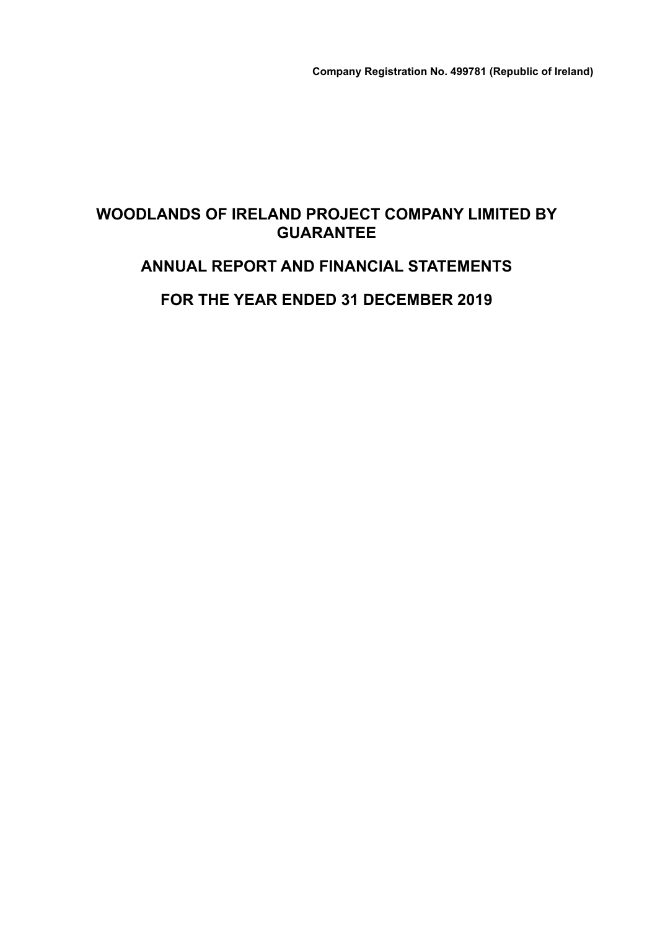# **ANNUAL REPORT AND FINANCIAL STATEMENTS**

# **FOR THE YEAR ENDED 31 DECEMBER 2019**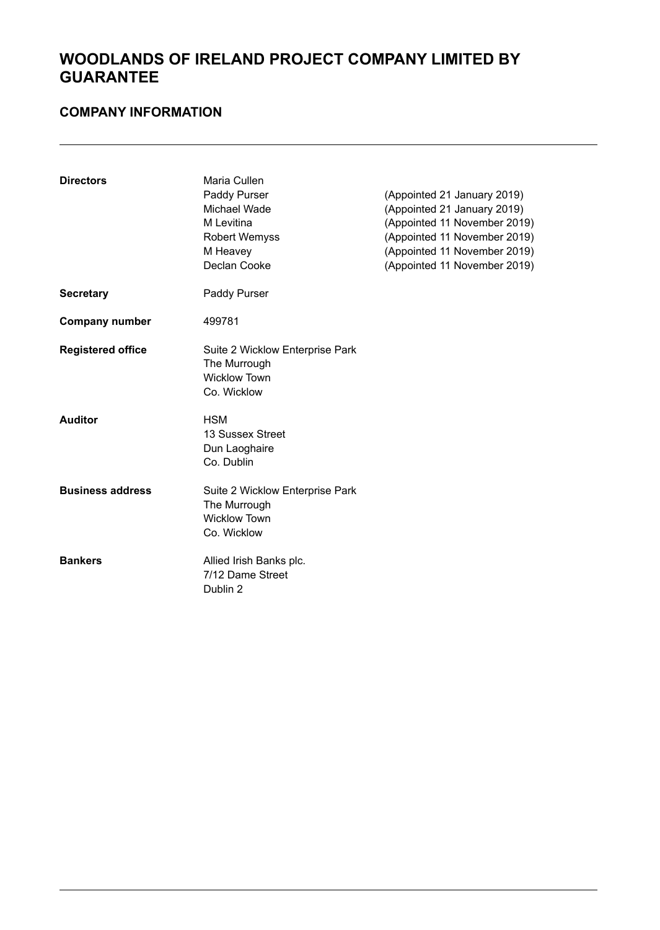## **COMPANY INFORMATION**

| <b>Directors</b>         | Maria Cullen<br>Paddy Purser<br>Michael Wade<br>M Levitina<br><b>Robert Wemyss</b><br>M Heavey<br>Declan Cooke | (Appointed 21 January 2019)<br>(Appointed 21 January 2019)<br>(Appointed 11 November 2019)<br>(Appointed 11 November 2019)<br>(Appointed 11 November 2019)<br>(Appointed 11 November 2019) |
|--------------------------|----------------------------------------------------------------------------------------------------------------|--------------------------------------------------------------------------------------------------------------------------------------------------------------------------------------------|
| <b>Secretary</b>         | Paddy Purser                                                                                                   |                                                                                                                                                                                            |
| <b>Company number</b>    | 499781                                                                                                         |                                                                                                                                                                                            |
| <b>Registered office</b> | Suite 2 Wicklow Enterprise Park<br>The Murrough<br><b>Wicklow Town</b><br>Co. Wicklow                          |                                                                                                                                                                                            |
| <b>Auditor</b>           | <b>HSM</b><br>13 Sussex Street<br>Dun Laoghaire<br>Co. Dublin                                                  |                                                                                                                                                                                            |
| <b>Business address</b>  | Suite 2 Wicklow Enterprise Park<br>The Murrough<br><b>Wicklow Town</b><br>Co. Wicklow                          |                                                                                                                                                                                            |
| <b>Bankers</b>           | Allied Irish Banks plc.<br>7/12 Dame Street<br>Dublin 2                                                        |                                                                                                                                                                                            |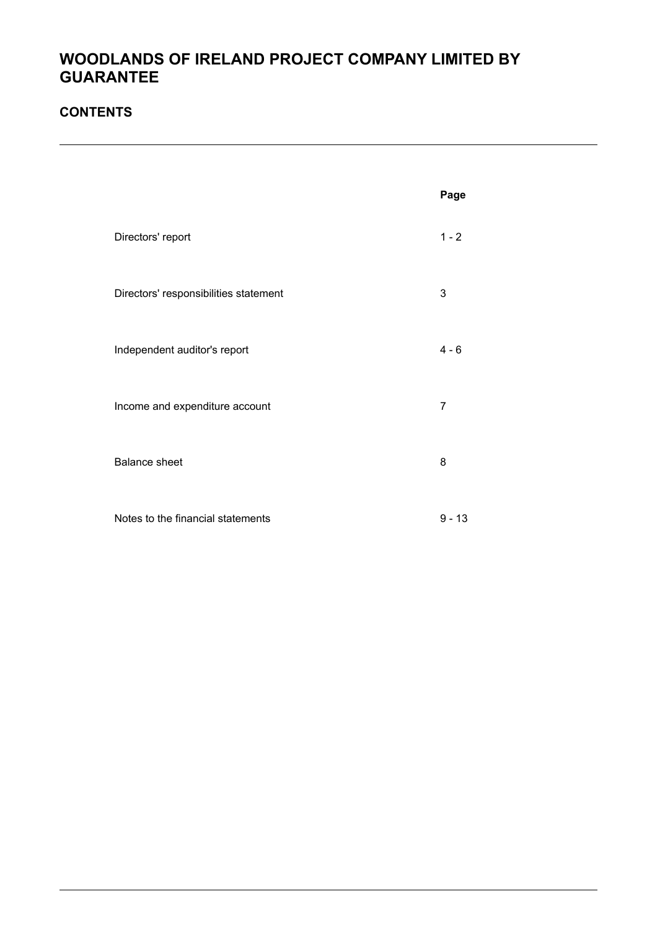## **CONTENTS**

|                                       | Page           |
|---------------------------------------|----------------|
| Directors' report                     | $1 - 2$        |
| Directors' responsibilities statement | 3              |
| Independent auditor's report          | $4 - 6$        |
| Income and expenditure account        | $\overline{7}$ |
| <b>Balance sheet</b>                  | 8              |
| Notes to the financial statements     | $9 - 13$       |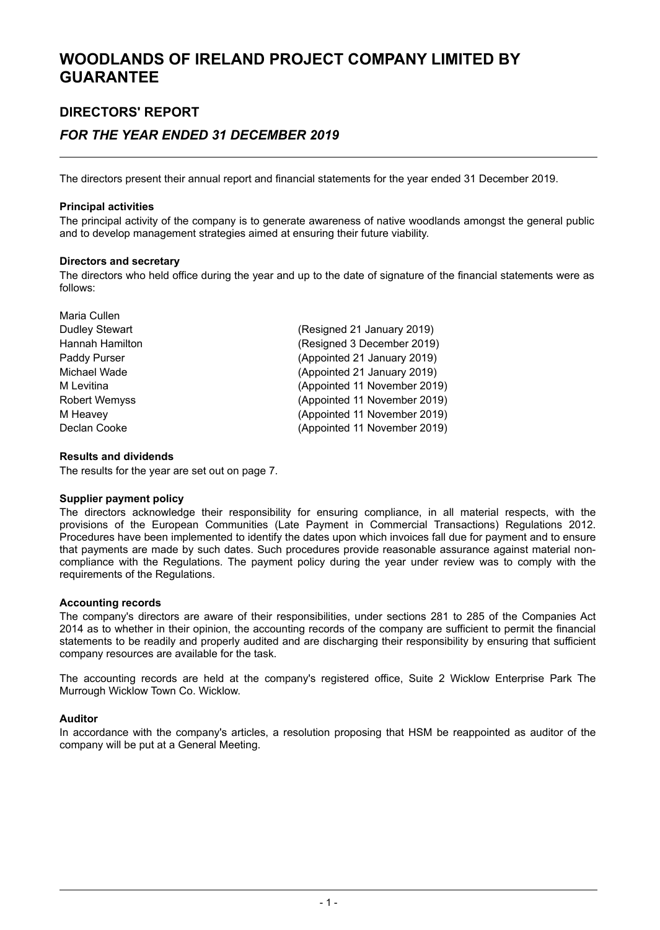# **DIRECTORS' REPORT**

## *FOR THE YEAR ENDED 31 DECEMBER 2019*

The directors present their annual report and financial statements for the year ended 31 December 2019.

## **Principal activities**

Maria Cullen

The principal activity of the company is to generate awareness of native woodlands amongst the general public and to develop management strategies aimed at ensuring their future viability.

#### **Directors and secretary**

The directors who held office during the year and up to the date of signature of the financial statements were as follows:

| 1010110 OUINI         |                              |
|-----------------------|------------------------------|
| <b>Dudley Stewart</b> | (Resigned 21 January 2019)   |
| Hannah Hamilton       | (Resigned 3 December 2019)   |
| Paddy Purser          | (Appointed 21 January 2019)  |
| Michael Wade          | (Appointed 21 January 2019)  |
| M Levitina            | (Appointed 11 November 2019) |
| Robert Wemyss         | (Appointed 11 November 2019) |
| M Heavey              | (Appointed 11 November 2019) |
| Declan Cooke          | (Appointed 11 November 2019) |
|                       |                              |

## **Results and dividends**

The results for the year are set out on page 7.

#### **Supplier payment policy**

The directors acknowledge their responsibility for ensuring compliance, in all material respects, with the provisions of the European Communities (Late Payment in Commercial Transactions) Regulations 2012. Procedures have been implemented to identify the dates upon which invoices fall due for payment and to ensure that payments are made by such dates. Such procedures provide reasonable assurance against material noncompliance with the Regulations. The payment policy during the year under review was to comply with the requirements of the Regulations.

## **Accounting records**

The company's directors are aware of their responsibilities, under sections 281 to 285 of the Companies Act 2014 as to whether in their opinion, the accounting records of the company are sufficient to permit the financial statements to be readily and properly audited and are discharging their responsibility by ensuring that sufficient company resources are available for the task.

The accounting records are held at the company's registered office, Suite 2 Wicklow Enterprise Park The Murrough Wicklow Town Co. Wicklow.

#### **Auditor**

In accordance with the company's articles, a resolution proposing that HSM be reappointed as auditor of the company will be put at a General Meeting.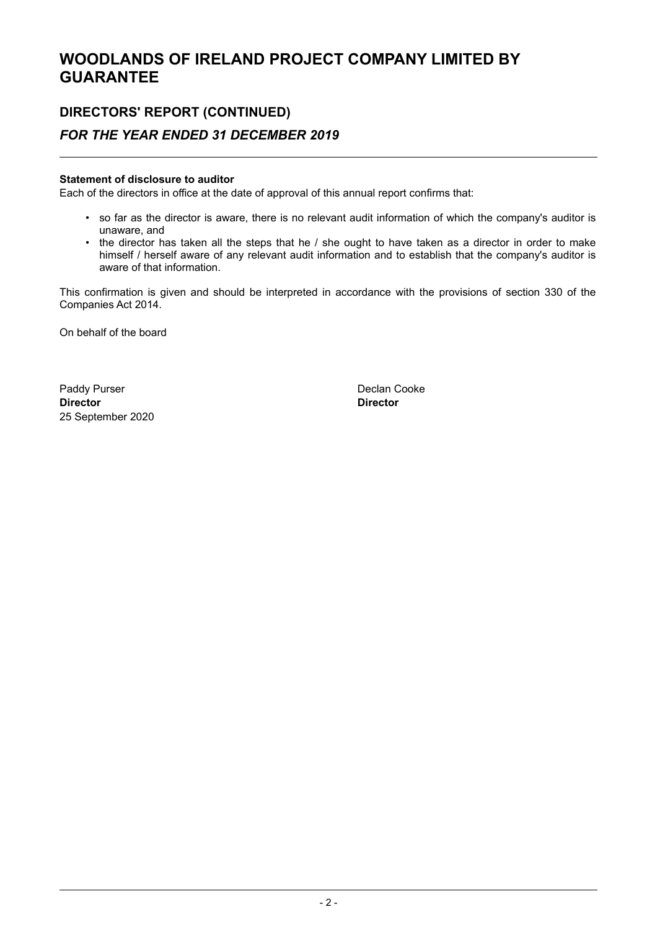## **DIRECTORS' REPORT (CONTINUED)**

## *FOR THE YEAR ENDED 31 DECEMBER 2019*

## **Statement of disclosure to auditor**

Each of the directors in office at the date of approval of this annual report confirms that:

- so far as the director is aware, there is no relevant audit information of which the company's auditor is unaware, and
- the director has taken all the steps that he / she ought to have taken as a director in order to make himself / herself aware of any relevant audit information and to establish that the company's auditor is aware of that information.

This confirmation is given and should be interpreted in accordance with the provisions of section 330 of the Companies Act 2014.

On behalf of the board

Paddy Purser **Declan Cooke Director Director** 25 September 2020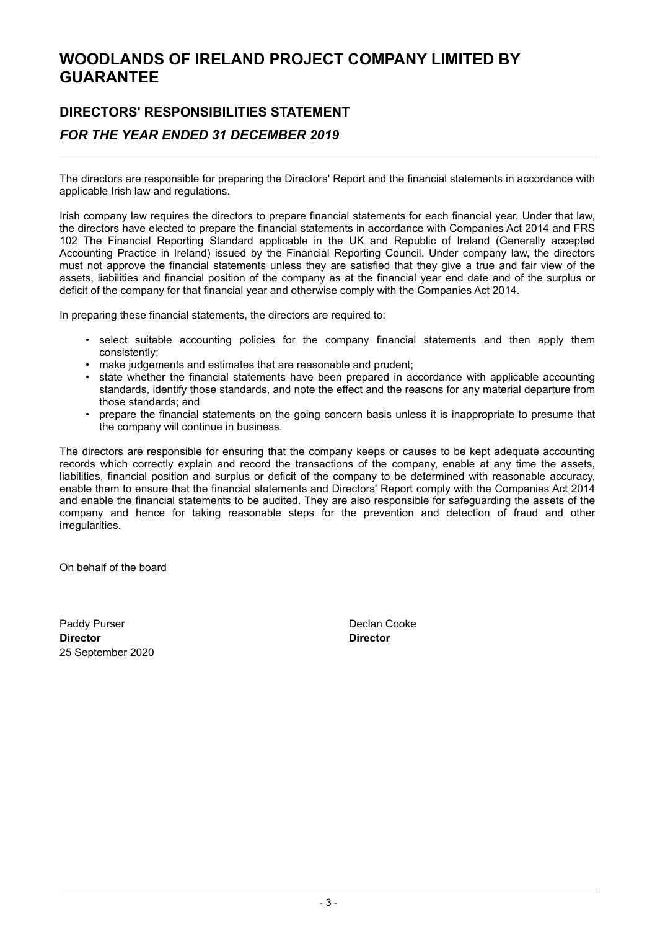# **DIRECTORS' RESPONSIBILITIES STATEMENT** *FOR THE YEAR ENDED 31 DECEMBER 2019*

The directors are responsible for preparing the Directors' Report and the financial statements in accordance with applicable Irish law and regulations.

Irish company law requires the directors to prepare financial statements for each financial year. Under that law, the directors have elected to prepare the financial statements in accordance with Companies Act 2014 and FRS 102 The Financial Reporting Standard applicable in the UK and Republic of Ireland (Generally accepted Accounting Practice in Ireland) issued by the Financial Reporting Council. Under company law, the directors must not approve the financial statements unless they are satisfied that they give a true and fair view of the assets, liabilities and financial position of the company as at the financial year end date and of the surplus or deficit of the company for that financial year and otherwise comply with the Companies Act 2014.

In preparing these financial statements, the directors are required to:

- select suitable accounting policies for the company financial statements and then apply them consistently;
- make judgements and estimates that are reasonable and prudent;
- state whether the financial statements have been prepared in accordance with applicable accounting standards, identify those standards, and note the effect and the reasons for any material departure from those standards; and
- prepare the financial statements on the going concern basis unless it is inappropriate to presume that the company will continue in business.

The directors are responsible for ensuring that the company keeps or causes to be kept adequate accounting records which correctly explain and record the transactions of the company, enable at any time the assets, liabilities, financial position and surplus or deficit of the company to be determined with reasonable accuracy, enable them to ensure that the financial statements and Directors' Report comply with the Companies Act 2014 and enable the financial statements to be audited. They are also responsible for safeguarding the assets of the company and hence for taking reasonable steps for the prevention and detection of fraud and other irregularities.

On behalf of the board

Paddy Purser **Declan Cooke Director Director** 25 September 2020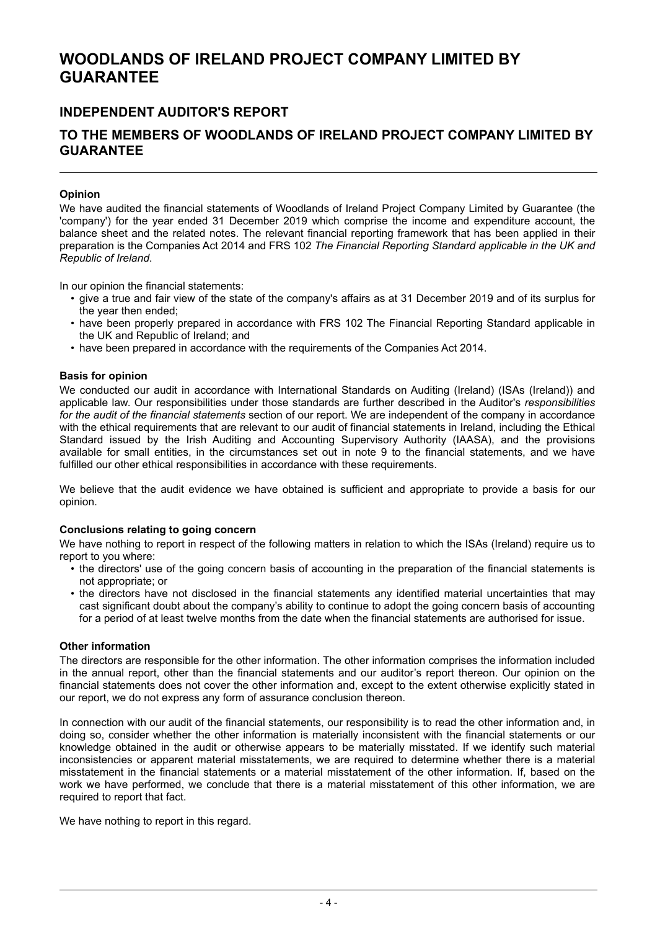## **INDEPENDENT AUDITOR'S REPORT**

## **TO THE MEMBERS OF WOODLANDS OF IRELAND PROJECT COMPANY LIMITED BY GUARANTEE**

## **Opinion**

We have audited the financial statements of Woodlands of Ireland Project Company Limited by Guarantee (the 'company') for the year ended 31 December 2019 which comprise the income and expenditure account, the balance sheet and the related notes. The relevant financial reporting framework that has been applied in their preparation is the Companies Act 2014 and FRS 102 *The Financial Reporting Standard applicable in the UK and Republic of Ireland*.

In our opinion the financial statements:

- give a true and fair view of the state of the company's affairs as at 31 December 2019 and of its surplus for the year then ended;
- have been properly prepared in accordance with FRS 102 The Financial Reporting Standard applicable in the UK and Republic of Ireland; and
- have been prepared in accordance with the requirements of the Companies Act 2014.

## **Basis for opinion**

We conducted our audit in accordance with International Standards on Auditing (Ireland) (ISAs (Ireland)) and applicable law. Our responsibilities under those standards are further described in the Auditor's *responsibilities for the audit of the financial statements* section of our report. We are independent of the company in accordance with the ethical requirements that are relevant to our audit of financial statements in Ireland, including the Ethical Standard issued by the Irish Auditing and Accounting Supervisory Authority (IAASA), and the provisions available for small entities, in the circumstances set out in note 9 to the financial statements, and we have fulfilled our other ethical responsibilities in accordance with these requirements.

We believe that the audit evidence we have obtained is sufficient and appropriate to provide a basis for our opinion.

#### **Conclusions relating to going concern**

We have nothing to report in respect of the following matters in relation to which the ISAs (Ireland) require us to report to you where:

- the directors' use of the going concern basis of accounting in the preparation of the financial statements is not appropriate; or
- the directors have not disclosed in the financial statements any identified material uncertainties that may cast significant doubt about the company's ability to continue to adopt the going concern basis of accounting for a period of at least twelve months from the date when the financial statements are authorised for issue.

## **Other information**

The directors are responsible for the other information. The other information comprises the information included in the annual report, other than the financial statements and our auditor's report thereon. Our opinion on the financial statements does not cover the other information and, except to the extent otherwise explicitly stated in our report, we do not express any form of assurance conclusion thereon.

In connection with our audit of the financial statements, our responsibility is to read the other information and, in doing so, consider whether the other information is materially inconsistent with the financial statements or our knowledge obtained in the audit or otherwise appears to be materially misstated. If we identify such material inconsistencies or apparent material misstatements, we are required to determine whether there is a material misstatement in the financial statements or a material misstatement of the other information. If, based on the work we have performed, we conclude that there is a material misstatement of this other information, we are required to report that fact.

We have nothing to report in this regard.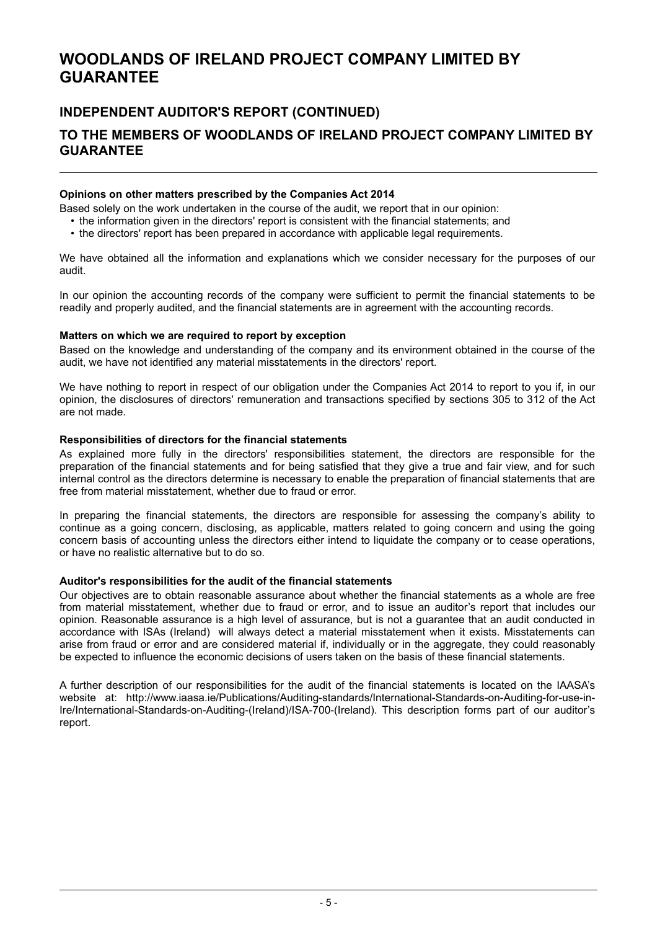## **INDEPENDENT AUDITOR'S REPORT (CONTINUED)**

## **TO THE MEMBERS OF WOODLANDS OF IRELAND PROJECT COMPANY LIMITED BY GUARANTEE**

## **Opinions on other matters prescribed by the Companies Act 2014**

Based solely on the work undertaken in the course of the audit, we report that in our opinion:

- the information given in the directors' report is consistent with the financial statements; and
- the directors' report has been prepared in accordance with applicable legal requirements.

We have obtained all the information and explanations which we consider necessary for the purposes of our audit.

In our opinion the accounting records of the company were sufficient to permit the financial statements to be readily and properly audited, and the financial statements are in agreement with the accounting records.

## **Matters on which we are required to report by exception**

Based on the knowledge and understanding of the company and its environment obtained in the course of the audit, we have not identified any material misstatements in the directors' report.

We have nothing to report in respect of our obligation under the Companies Act 2014 to report to you if, in our opinion, the disclosures of directors' remuneration and transactions specified by sections 305 to 312 of the Act are not made.

## **Responsibilities of directors for the financial statements**

As explained more fully in the directors' responsibilities statement, the directors are responsible for the preparation of the financial statements and for being satisfied that they give a true and fair view, and for such internal control as the directors determine is necessary to enable the preparation of financial statements that are free from material misstatement, whether due to fraud or error.

In preparing the financial statements, the directors are responsible for assessing the company's ability to continue as a going concern, disclosing, as applicable, matters related to going concern and using the going concern basis of accounting unless the directors either intend to liquidate the company or to cease operations, or have no realistic alternative but to do so.

#### **Auditor's responsibilities for the audit of the financial statements**

Our objectives are to obtain reasonable assurance about whether the financial statements as a whole are free from material misstatement, whether due to fraud or error, and to issue an auditor's report that includes our opinion. Reasonable assurance is a high level of assurance, but is not a guarantee that an audit conducted in accordance with ISAs (Ireland) will always detect a material misstatement when it exists. Misstatements can arise from fraud or error and are considered material if, individually or in the aggregate, they could reasonably be expected to influence the economic decisions of users taken on the basis of these financial statements.

A further description of our responsibilities for the audit of the financial statements is located on the IAASA's website at: http://www.iaasa.ie/Publications/Auditing-standards/International-Standards-on-Auditing-for-use-in-Ire/International-Standards-on-Auditing-(Ireland)/ISA-700-(Ireland). This description forms part of our auditor's report.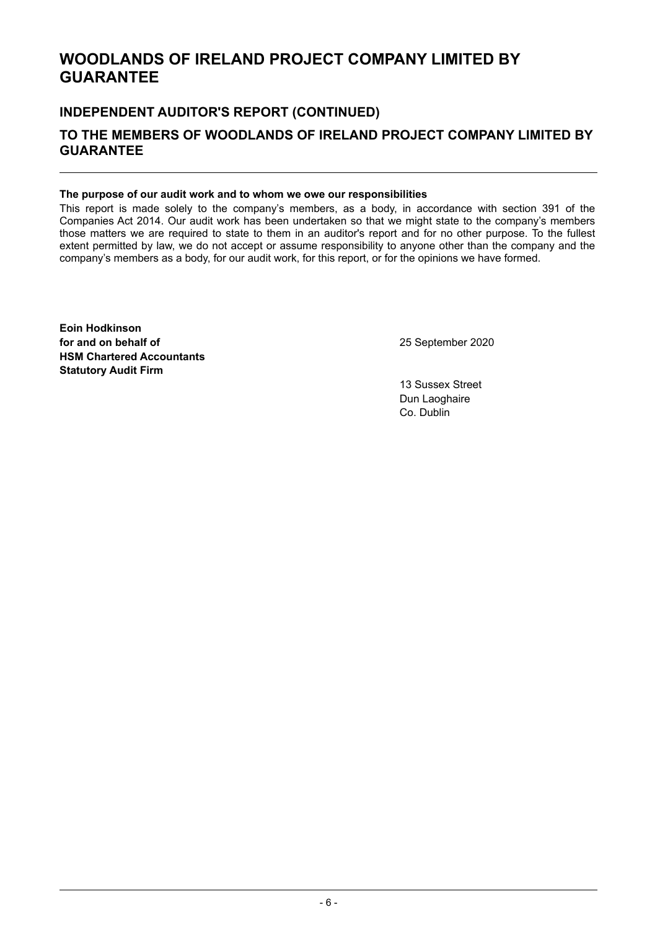## **INDEPENDENT AUDITOR'S REPORT (CONTINUED)**

## **TO THE MEMBERS OF WOODLANDS OF IRELAND PROJECT COMPANY LIMITED BY GUARANTEE**

## **The purpose of our audit work and to whom we owe our responsibilities**

This report is made solely to the company's members, as a body, in accordance with section 391 of the Companies Act 2014. Our audit work has been undertaken so that we might state to the company's members those matters we are required to state to them in an auditor's report and for no other purpose. To the fullest extent permitted by law, we do not accept or assume responsibility to anyone other than the company and the company's members as a body, for our audit work, for this report, or for the opinions we have formed.

**Eoin Hodkinson for and on behalf of** 25 September 2020 **HSM Chartered Accountants Statutory Audit Firm**

13 Sussex Street Dun Laoghaire Co. Dublin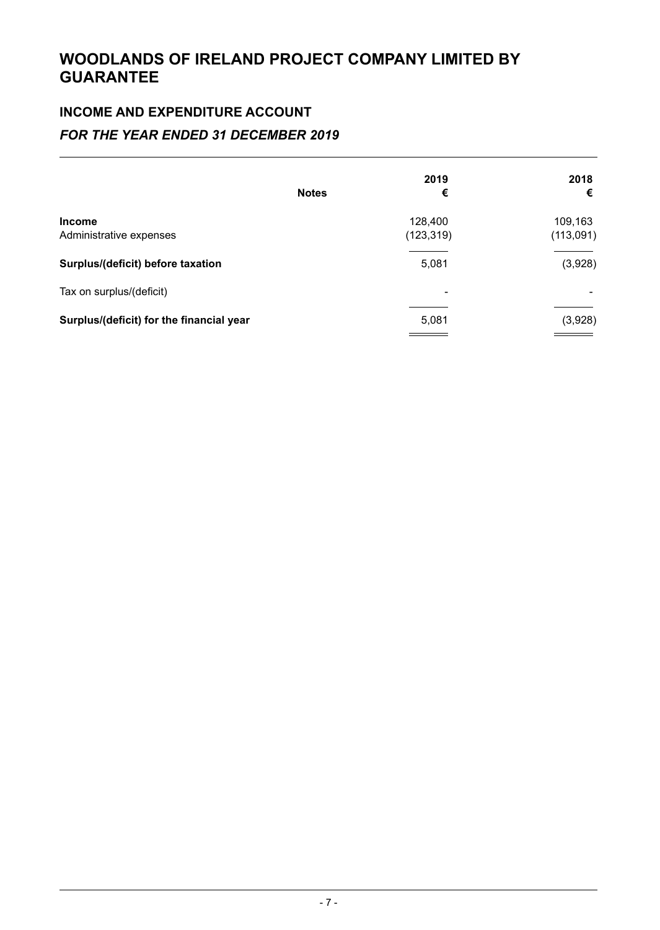# **INCOME AND EXPENDITURE ACCOUNT** *FOR THE YEAR ENDED 31 DECEMBER 2019*

|                                          |              | 2019       | 2018      |
|------------------------------------------|--------------|------------|-----------|
|                                          | <b>Notes</b> | €          | €         |
| <b>Income</b>                            |              | 128,400    | 109,163   |
| Administrative expenses                  |              | (123, 319) | (113,091) |
| Surplus/(deficit) before taxation        |              | 5,081      | (3,928)   |
| Tax on surplus/(deficit)                 |              | ۰          | ۰         |
| Surplus/(deficit) for the financial year |              | 5,081      | (3,928)   |
|                                          |              |            |           |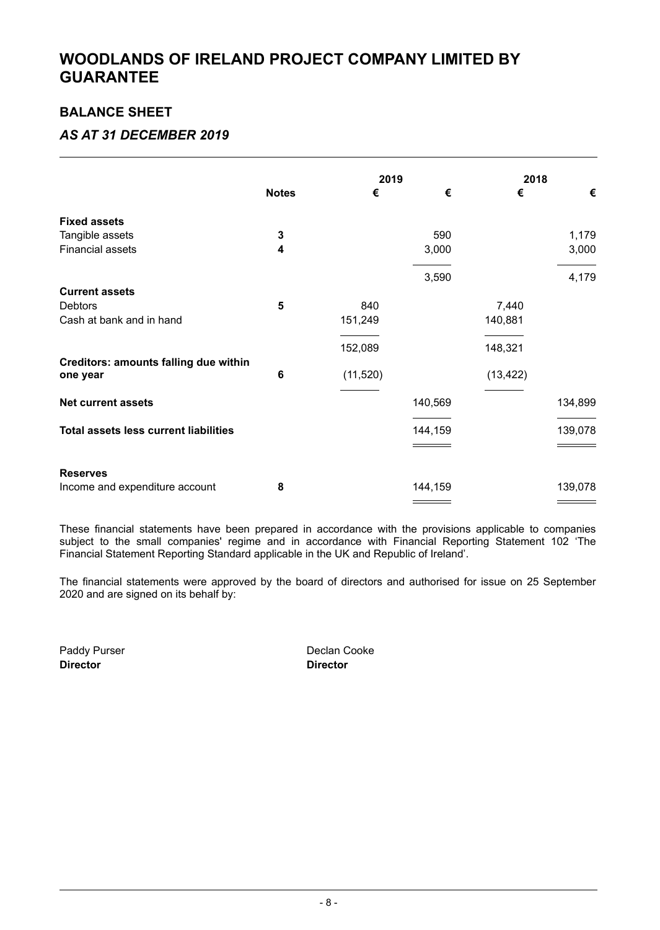## **BALANCE SHEET**

## *AS AT 31 DECEMBER 2019*

|                                                   |              | 2019     |         | 2018      |         |
|---------------------------------------------------|--------------|----------|---------|-----------|---------|
|                                                   | <b>Notes</b> | €        | €       | €         | €       |
| <b>Fixed assets</b>                               |              |          |         |           |         |
| Tangible assets                                   | 3            |          | 590     |           | 1,179   |
| <b>Financial assets</b>                           | 4            |          | 3,000   |           | 3,000   |
|                                                   |              |          | 3,590   |           | 4,179   |
| <b>Current assets</b>                             |              |          |         |           |         |
| <b>Debtors</b>                                    | 5            | 840      |         | 7,440     |         |
| Cash at bank and in hand                          |              | 151,249  |         | 140,881   |         |
|                                                   |              | 152,089  |         | 148,321   |         |
| Creditors: amounts falling due within<br>one year | 6            | (11,520) |         | (13, 422) |         |
| <b>Net current assets</b>                         |              |          | 140,569 |           | 134,899 |
| <b>Total assets less current liabilities</b>      |              |          | 144,159 |           | 139,078 |
|                                                   |              |          |         |           |         |
| <b>Reserves</b>                                   |              |          |         |           |         |
| Income and expenditure account                    | 8            |          | 144,159 |           | 139,078 |

These financial statements have been prepared in accordance with the provisions applicable to companies subject to the small companies' regime and in accordance with Financial Reporting Statement 102 'The Financial Statement Reporting Standard applicable in the UK and Republic of Ireland'.

The financial statements were approved by the board of directors and authorised for issue on 25 September 2020 and are signed on its behalf by:

Paddy Purser **Declan Cooke Director Director**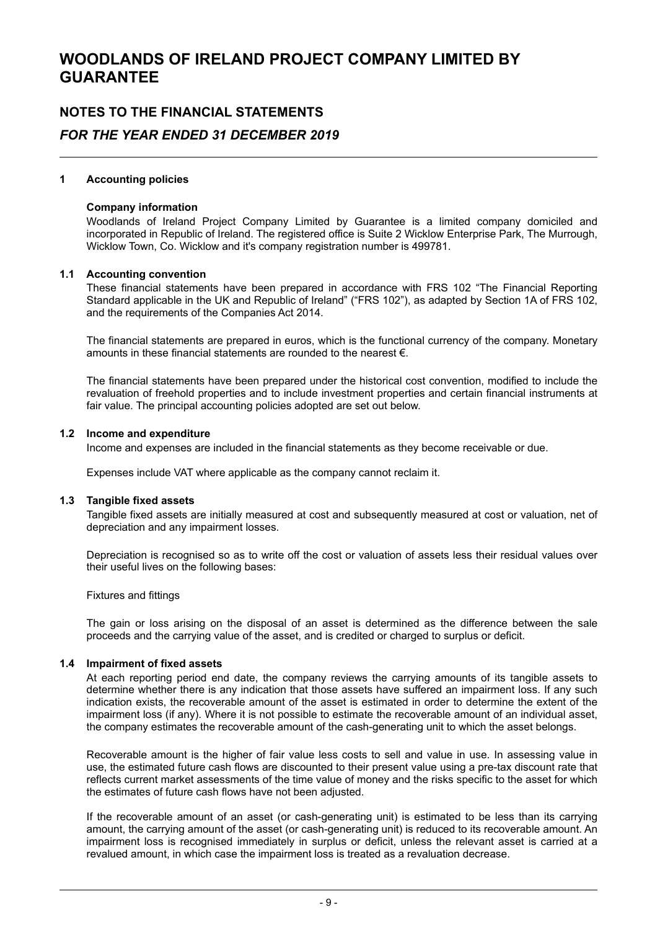# **NOTES TO THE FINANCIAL STATEMENTS** *FOR THE YEAR ENDED 31 DECEMBER 2019*

## **1 Accounting policies**

#### **Company information**

Woodlands of Ireland Project Company Limited by Guarantee is a limited company domiciled and incorporated in Republic of Ireland. The registered office is Suite 2 Wicklow Enterprise Park, The Murrough, Wicklow Town, Co. Wicklow and it's company registration number is 499781.

## **1.1 Accounting convention**

These financial statements have been prepared in accordance with FRS 102 "The Financial Reporting Standard applicable in the UK and Republic of Ireland" ("FRS 102"), as adapted by Section 1A of FRS 102, and the requirements of the Companies Act 2014.

The financial statements are prepared in euros, which is the functional currency of the company. Monetary amounts in these financial statements are rounded to the nearest €.

The financial statements have been prepared under the historical cost convention, modified to include the revaluation of freehold properties and to include investment properties and certain financial instruments at fair value. The principal accounting policies adopted are set out below.

#### **1.2 Income and expenditure**

Income and expenses are included in the financial statements as they become receivable or due.

Expenses include VAT where applicable as the company cannot reclaim it.

#### **1.3 Tangible fixed assets**

Tangible fixed assets are initially measured at cost and subsequently measured at cost or valuation, net of depreciation and any impairment losses.

Depreciation is recognised so as to write off the cost or valuation of assets less their residual values over their useful lives on the following bases:

Fixtures and fittings

The gain or loss arising on the disposal of an asset is determined as the difference between the sale proceeds and the carrying value of the asset, and is credited or charged to surplus or deficit.

#### **1.4 Impairment of fixed assets**

At each reporting period end date, the company reviews the carrying amounts of its tangible assets to determine whether there is any indication that those assets have suffered an impairment loss. If any such indication exists, the recoverable amount of the asset is estimated in order to determine the extent of the impairment loss (if any). Where it is not possible to estimate the recoverable amount of an individual asset, the company estimates the recoverable amount of the cash-generating unit to which the asset belongs.

Recoverable amount is the higher of fair value less costs to sell and value in use. In assessing value in use, the estimated future cash flows are discounted to their present value using a pre-tax discount rate that reflects current market assessments of the time value of money and the risks specific to the asset for which the estimates of future cash flows have not been adjusted.

If the recoverable amount of an asset (or cash-generating unit) is estimated to be less than its carrying amount, the carrying amount of the asset (or cash-generating unit) is reduced to its recoverable amount. An impairment loss is recognised immediately in surplus or deficit, unless the relevant asset is carried at a revalued amount, in which case the impairment loss is treated as a revaluation decrease.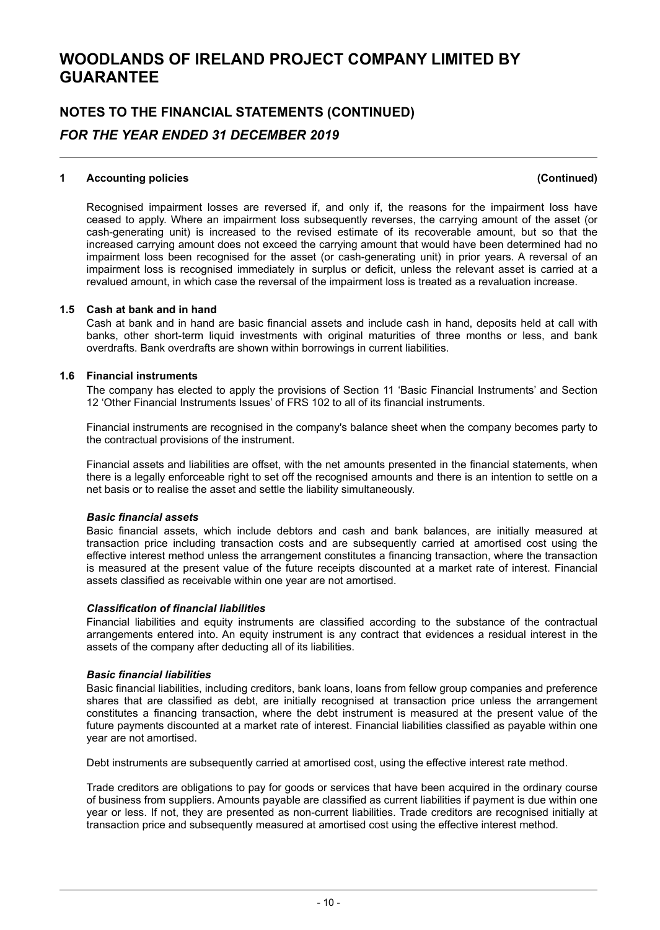# **NOTES TO THE FINANCIAL STATEMENTS (CONTINUED)** *FOR THE YEAR ENDED 31 DECEMBER 2019*

## **1 Accounting policies (Continued)**

Recognised impairment losses are reversed if, and only if, the reasons for the impairment loss have ceased to apply. Where an impairment loss subsequently reverses, the carrying amount of the asset (or cash-generating unit) is increased to the revised estimate of its recoverable amount, but so that the increased carrying amount does not exceed the carrying amount that would have been determined had no impairment loss been recognised for the asset (or cash-generating unit) in prior years. A reversal of an impairment loss is recognised immediately in surplus or deficit, unless the relevant asset is carried at a revalued amount, in which case the reversal of the impairment loss is treated as a revaluation increase.

## **1.5 Cash at bank and in hand**

Cash at bank and in hand are basic financial assets and include cash in hand, deposits held at call with banks, other short-term liquid investments with original maturities of three months or less, and bank overdrafts. Bank overdrafts are shown within borrowings in current liabilities.

## **1.6 Financial instruments**

The company has elected to apply the provisions of Section 11 'Basic Financial Instruments' and Section 12 'Other Financial Instruments Issues' of FRS 102 to all of its financial instruments.

Financial instruments are recognised in the company's balance sheet when the company becomes party to the contractual provisions of the instrument.

Financial assets and liabilities are offset, with the net amounts presented in the financial statements, when there is a legally enforceable right to set off the recognised amounts and there is an intention to settle on a net basis or to realise the asset and settle the liability simultaneously.

#### *Basic financial assets*

Basic financial assets, which include debtors and cash and bank balances, are initially measured at transaction price including transaction costs and are subsequently carried at amortised cost using the effective interest method unless the arrangement constitutes a financing transaction, where the transaction is measured at the present value of the future receipts discounted at a market rate of interest. Financial assets classified as receivable within one year are not amortised.

#### *Classification of financial liabilities*

Financial liabilities and equity instruments are classified according to the substance of the contractual arrangements entered into. An equity instrument is any contract that evidences a residual interest in the assets of the company after deducting all of its liabilities.

#### *Basic financial liabilities*

Basic financial liabilities, including creditors, bank loans, loans from fellow group companies and preference shares that are classified as debt, are initially recognised at transaction price unless the arrangement constitutes a financing transaction, where the debt instrument is measured at the present value of the future payments discounted at a market rate of interest. Financial liabilities classified as payable within one year are not amortised.

Debt instruments are subsequently carried at amortised cost, using the effective interest rate method.

Trade creditors are obligations to pay for goods or services that have been acquired in the ordinary course of business from suppliers. Amounts payable are classified as current liabilities if payment is due within one year or less. If not, they are presented as non-current liabilities. Trade creditors are recognised initially at transaction price and subsequently measured at amortised cost using the effective interest method.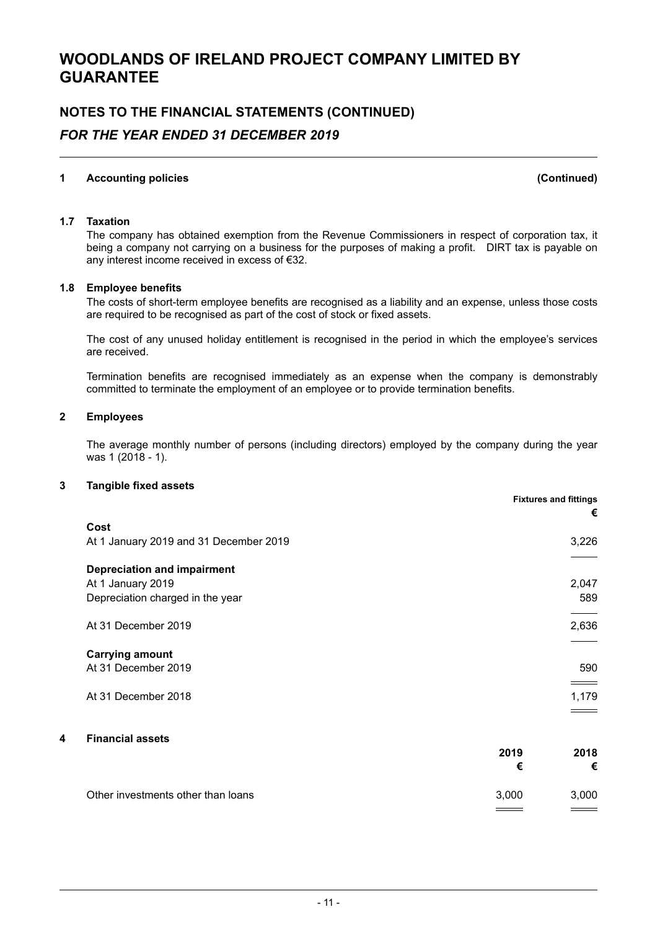# **NOTES TO THE FINANCIAL STATEMENTS (CONTINUED)** *FOR THE YEAR ENDED 31 DECEMBER 2019*

## **1 Accounting policies (Continued)**

## **1.7 Taxation**

The company has obtained exemption from the Revenue Commissioners in respect of corporation tax, it being a company not carrying on a business for the purposes of making a profit. DIRT tax is payable on any interest income received in excess of €32.

## **1.8 Employee benefits**

The costs of short-term employee benefits are recognised as a liability and an expense, unless those costs are required to be recognised as part of the cost of stock or fixed assets.

The cost of any unused holiday entitlement is recognised in the period in which the employee's services are received.

Termination benefits are recognised immediately as an expense when the company is demonstrably committed to terminate the employment of an employee or to provide termination benefits.

## **2 Employees**

The average monthly number of persons (including directors) employed by the company during the year was 1 (2018 - 1).

## **3 Tangible fixed assets**

|       | <b>Fixtures and fittings</b> |
|-------|------------------------------|
|       | €                            |
|       | 3,226                        |
|       |                              |
|       | 2,047                        |
|       | 589                          |
|       | 2,636                        |
|       |                              |
|       | 590                          |
|       |                              |
|       | 1,179                        |
|       |                              |
|       |                              |
| 2019  | 2018                         |
| €     | €                            |
| 3,000 | 3,000                        |
|       |                              |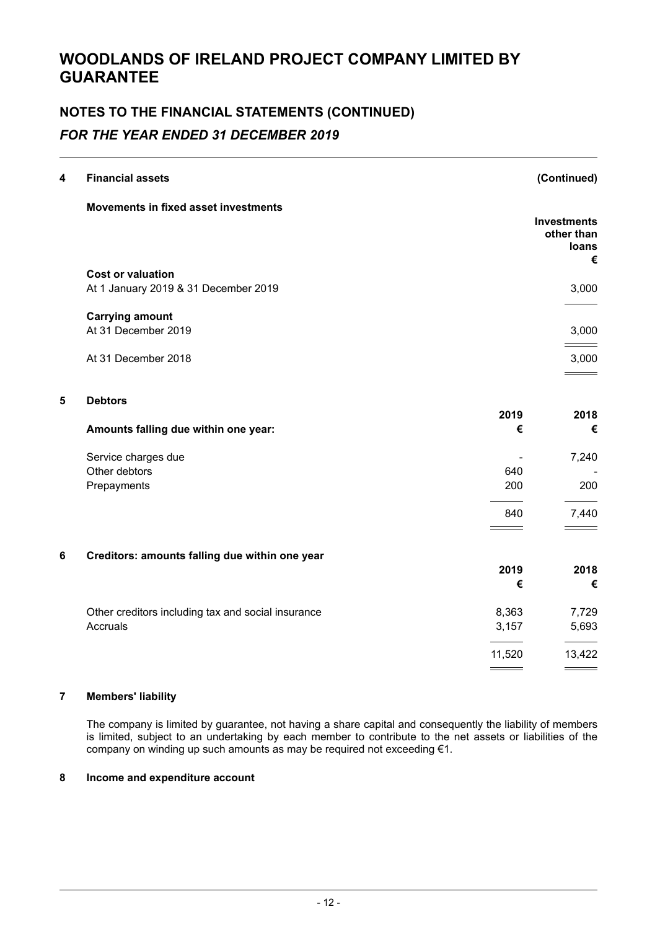# **NOTES TO THE FINANCIAL STATEMENTS (CONTINUED)** *FOR THE YEAR ENDED 31 DECEMBER 2019*

| 4 | <b>Financial assets</b>                            |           | (Continued)                               |
|---|----------------------------------------------------|-----------|-------------------------------------------|
|   | Movements in fixed asset investments               |           | <b>Investments</b><br>other than<br>loans |
|   | <b>Cost or valuation</b>                           |           | €                                         |
|   | At 1 January 2019 & 31 December 2019               |           | 3,000                                     |
|   | <b>Carrying amount</b>                             |           |                                           |
|   | At 31 December 2019                                |           | 3,000                                     |
|   | At 31 December 2018                                |           | 3,000                                     |
| 5 | <b>Debtors</b>                                     |           |                                           |
|   | Amounts falling due within one year:               | 2019<br>€ | 2018<br>€                                 |
|   | Service charges due                                |           | 7,240                                     |
|   | Other debtors                                      | 640       |                                           |
|   | Prepayments                                        | 200       | 200                                       |
|   |                                                    | 840       | 7,440                                     |
| 6 | Creditors: amounts falling due within one year     |           |                                           |
|   |                                                    | 2019      | 2018                                      |
|   |                                                    | €         | €                                         |
|   | Other creditors including tax and social insurance | 8,363     | 7,729                                     |
|   | Accruals                                           | 3,157     | 5,693                                     |
|   |                                                    | 11,520    | 13,422                                    |
|   |                                                    |           |                                           |

## **7 Members' liability**

The company is limited by guarantee, not having a share capital and consequently the liability of members is limited, subject to an undertaking by each member to contribute to the net assets or liabilities of the company on winding up such amounts as may be required not exceeding €1.

## **8 Income and expenditure account**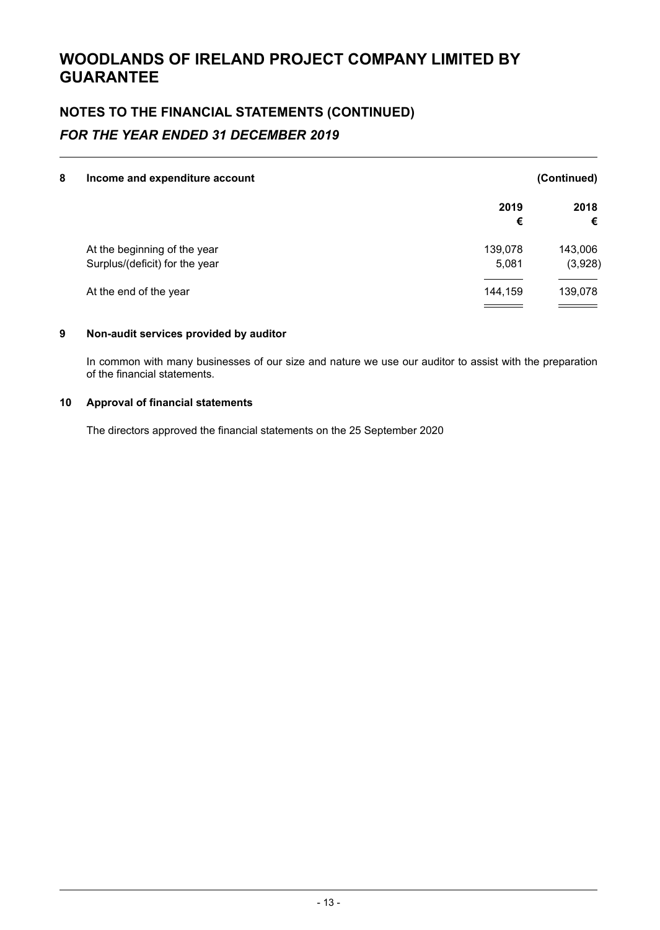# **NOTES TO THE FINANCIAL STATEMENTS (CONTINUED)** *FOR THE YEAR ENDED 31 DECEMBER 2019*

| 8 | Income and expenditure account |         | (Continued) |
|---|--------------------------------|---------|-------------|
|   |                                | 2019    | 2018        |
|   |                                | €       | €           |
|   | At the beginning of the year   | 139,078 | 143,006     |
|   | Surplus/(deficit) for the year | 5,081   | (3,928)     |
|   | At the end of the year         | 144,159 | 139,078     |
|   |                                |         |             |

## **9 Non-audit services provided by auditor**

In common with many businesses of our size and nature we use our auditor to assist with the preparation of the financial statements.

## **10 Approval of financial statements**

The directors approved the financial statements on the 25 September 2020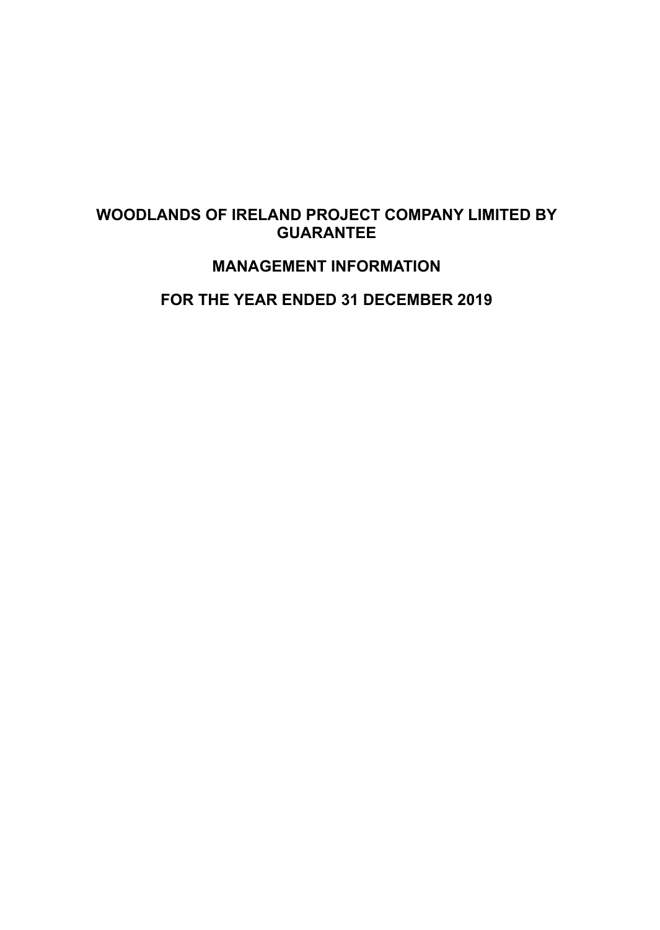# **MANAGEMENT INFORMATION**

**FOR THE YEAR ENDED 31 DECEMBER 2019**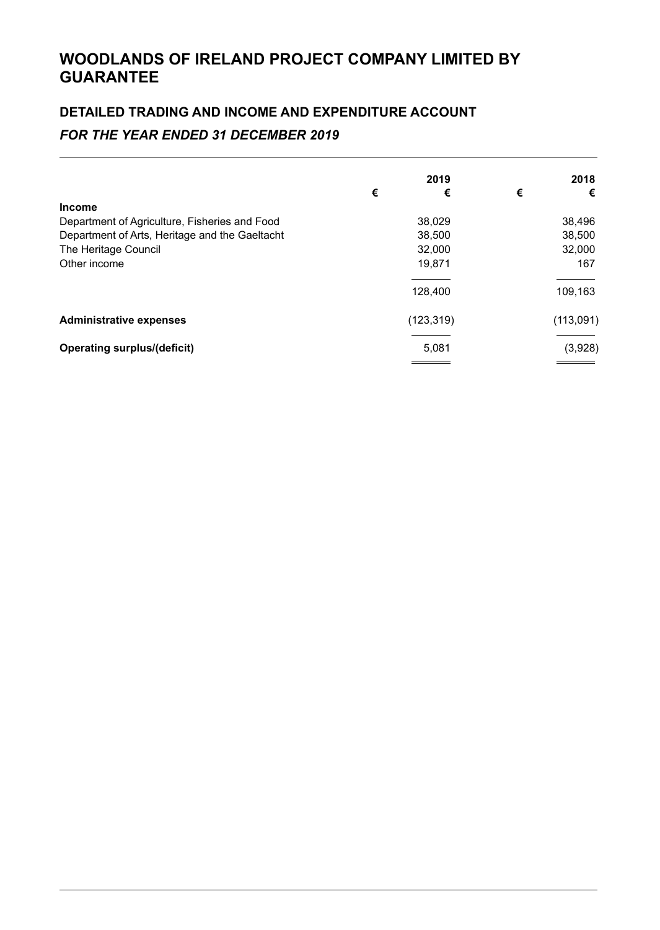# **DETAILED TRADING AND INCOME AND EXPENDITURE ACCOUNT** *FOR THE YEAR ENDED 31 DECEMBER 2019*

|                                                |   | 2019       |   | 2018      |
|------------------------------------------------|---|------------|---|-----------|
|                                                | € | €          | € | €         |
| <b>Income</b>                                  |   |            |   |           |
| Department of Agriculture, Fisheries and Food  |   | 38,029     |   | 38,496    |
| Department of Arts, Heritage and the Gaeltacht |   | 38,500     |   | 38,500    |
| The Heritage Council                           |   | 32,000     |   | 32,000    |
| Other income                                   |   | 19,871     |   | 167       |
|                                                |   | 128,400    |   | 109,163   |
| <b>Administrative expenses</b>                 |   | (123, 319) |   | (113,091) |
| <b>Operating surplus/(deficit)</b>             |   | 5,081      |   | (3,928)   |